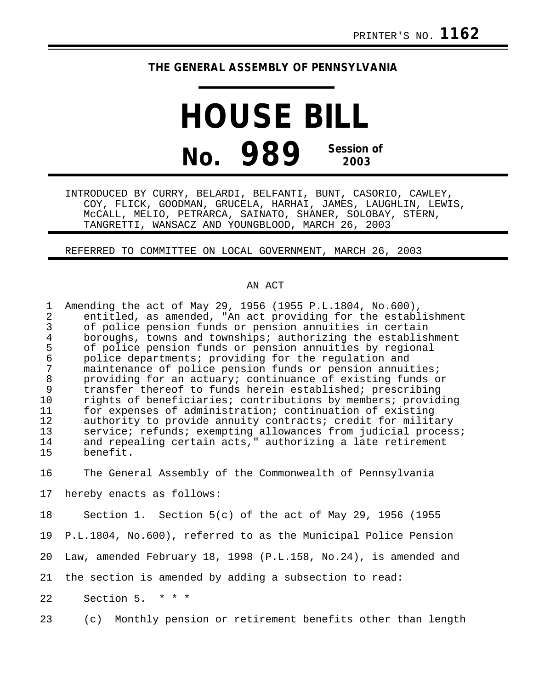## **THE GENERAL ASSEMBLY OF PENNSYLVANIA**

## **HOUSE BILL No. 989 Session of 2003**

INTRODUCED BY CURRY, BELARDI, BELFANTI, BUNT, CASORIO, CAWLEY, COY, FLICK, GOODMAN, GRUCELA, HARHAI, JAMES, LAUGHLIN, LEWIS, McCALL, MELIO, PETRARCA, SAINATO, SHANER, SOLOBAY, STERN, TANGRETTI, WANSACZ AND YOUNGBLOOD, MARCH 26, 2003

REFERRED TO COMMITTEE ON LOCAL GOVERNMENT, MARCH 26, 2003

## AN ACT

| 1<br>2          | Amending the act of May 29, 1956 (1955 P.L.1804, No.600),<br>entitled, as amended, "An act providing for the establishment<br>of police pension funds or pension annuities in certain |
|-----------------|---------------------------------------------------------------------------------------------------------------------------------------------------------------------------------------|
| 4               | boroughs, towns and townships; authorizing the establishment                                                                                                                          |
| 5               | of police pension funds or pension annuities by regional                                                                                                                              |
| 6               | police departments; providing for the regulation and                                                                                                                                  |
| 7               | maintenance of police pension funds or pension annuities;                                                                                                                             |
| 8               | providing for an actuary; continuance of existing funds or                                                                                                                            |
| 9               | transfer thereof to funds herein established; prescribing                                                                                                                             |
| 10              | rights of beneficiaries; contributions by members; providing                                                                                                                          |
| 11              | for expenses of administration; continuation of existing                                                                                                                              |
| 12              | authority to provide annuity contracts; credit for military                                                                                                                           |
| 13              | service; refunds; exempting allowances from judicial process;                                                                                                                         |
| 14              | and repealing certain acts," authorizing a late retirement                                                                                                                            |
| 15              | benefit.                                                                                                                                                                              |
|                 |                                                                                                                                                                                       |
| 16              | The General Assembly of the Commonwealth of Pennsylvania                                                                                                                              |
|                 |                                                                                                                                                                                       |
| 17 <sub>2</sub> | hereby enacts as follows:                                                                                                                                                             |

18 Section 1. Section 5(c) of the act of May 29, 1956 (1955

19 P.L.1804, No.600), referred to as the Municipal Police Pension

20 Law, amended February 18, 1998 (P.L.158, No.24), is amended and

21 the section is amended by adding a subsection to read:

22 Section 5. \* \* \*

23 (c) Monthly pension or retirement benefits other than length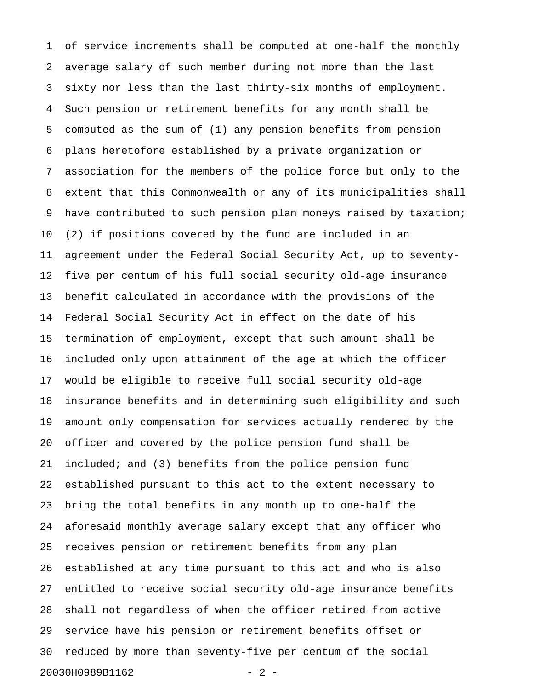1 of service increments shall be computed at one-half the monthly 2 average salary of such member during not more than the last 3 sixty nor less than the last thirty-six months of employment. 4 Such pension or retirement benefits for any month shall be 5 computed as the sum of (1) any pension benefits from pension 6 plans heretofore established by a private organization or 7 association for the members of the police force but only to the 8 extent that this Commonwealth or any of its municipalities shall 9 have contributed to such pension plan moneys raised by taxation; 10 (2) if positions covered by the fund are included in an 11 agreement under the Federal Social Security Act, up to seventy-12 five per centum of his full social security old-age insurance 13 benefit calculated in accordance with the provisions of the 14 Federal Social Security Act in effect on the date of his 15 termination of employment, except that such amount shall be 16 included only upon attainment of the age at which the officer 17 would be eligible to receive full social security old-age 18 insurance benefits and in determining such eligibility and such 19 amount only compensation for services actually rendered by the 20 officer and covered by the police pension fund shall be 21 included; and (3) benefits from the police pension fund 22 established pursuant to this act to the extent necessary to 23 bring the total benefits in any month up to one-half the 24 aforesaid monthly average salary except that any officer who 25 receives pension or retirement benefits from any plan 26 established at any time pursuant to this act and who is also 27 entitled to receive social security old-age insurance benefits 28 shall not regardless of when the officer retired from active 29 service have his pension or retirement benefits offset or 30 reduced by more than seventy-five per centum of the social 20030H0989B1162 - 2 -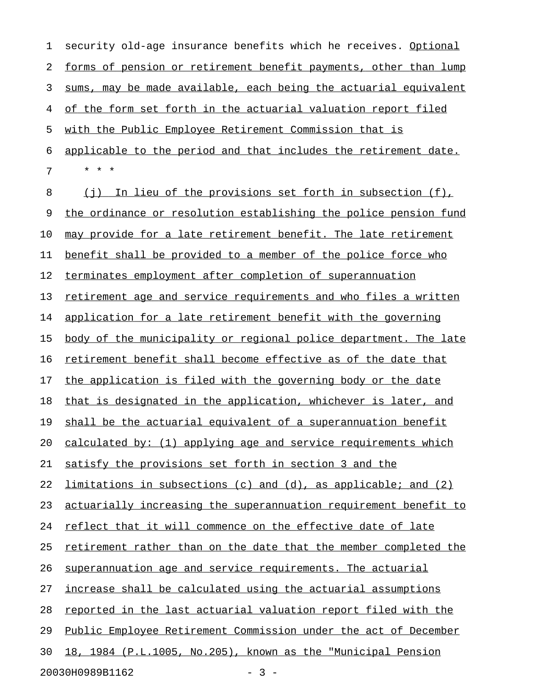1 security old-age insurance benefits which he receives. Optional 2 forms of pension or retirement benefit payments, other than lump 3 sums, may be made available, each being the actuarial equivalent 4 of the form set forth in the actuarial valuation report filed 5 with the Public Employee Retirement Commission that is 6 applicable to the period and that includes the retirement date. 7 \* \* \* 8 (j) In lieu of the provisions set forth in subsection  $(f)$ , 9 the ordinance or resolution establishing the police pension fund 10 may provide for a late retirement benefit. The late retirement 11 benefit shall be provided to a member of the police force who 12 terminates employment after completion of superannuation 13 retirement age and service requirements and who files a written 14 application for a late retirement benefit with the governing 15 body of the municipality or regional police department. The late 16 retirement benefit shall become effective as of the date that 17 the application is filed with the governing body or the date 18 that is designated in the application, whichever is later, and 19 shall be the actuarial equivalent of a superannuation benefit 20 calculated by:  $(1)$  applying age and service requirements which 21 satisfy the provisions set forth in section 3 and the 22 limitations in subsections (c) and (d), as applicable; and (2) 23 actuarially increasing the superannuation requirement benefit to 24 reflect that it will commence on the effective date of late 25 retirement rather than on the date that the member completed the 26 superannuation age and service requirements. The actuarial 27 increase shall be calculated using the actuarial assumptions 28 reported in the last actuarial valuation report filed with the

29 Public Employee Retirement Commission under the act of December

30 18, 1984 (P.L.1005, No.205), known as the "Municipal Pension

20030H0989B1162 - 3 -